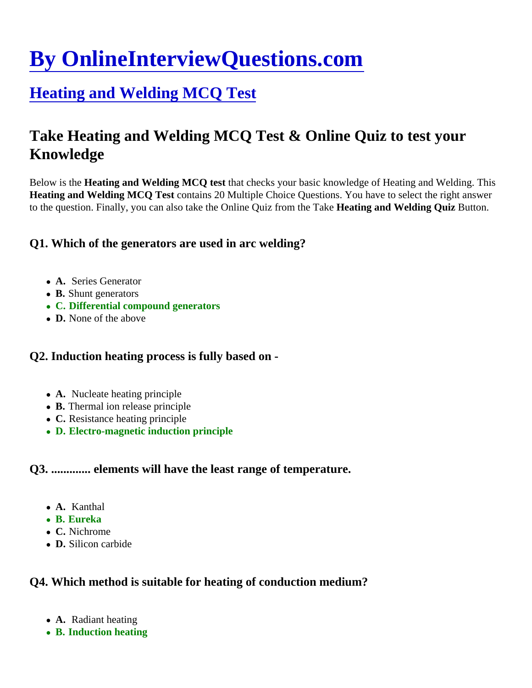# [By OnlineInterviewQuestions.com](https://www.onlineinterviewquestions.com/)

# [Heating and Welding MCQ Tes](https://www.onlineinterviewquestions.com/heating-and-welding-mcq/)t

# Take Heating and Welding MCQ Test & Online Quiz to test your Knowledge

Below is the Heating and Welding MCQ test that checks your basic knowledge of Heating and Welding. This Heating and Welding MCQ Test contains 20 Multiple Choice Questions. You have to select the right answer to the question. Finally, you can also take the Online Quiz from the Heationg and Welding Quiz Button.

Q1. Which of the generators are used in arc welding?

- A. Series Generator
- B. Shunt generators
- C. Differential compound generators
- D. None of the above

Q2. Induction heating process is fully based on -

- A. Nucleate heating principle
- B. Thermal ion release principle
- C. Resistance heating principle
- D. Electro-magnetic induction principle

Q3. ............. elements will have the least range of temperature.

- A. Kanthal
- B. Eureka
- C. Nichrome
- D. Silicon carbide

Q4. Which method is suitable for heating of conduction medium?

- A. Radiant heating
- B. Induction heating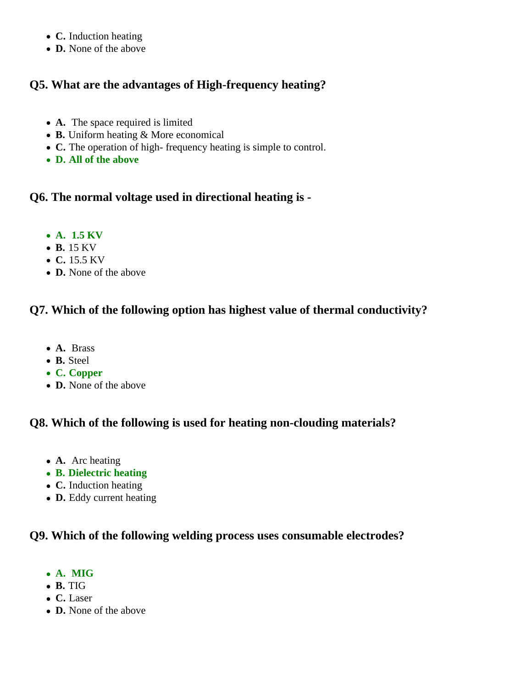- **C.** Induction heating
- **D.** None of the above

# **Q5. What are the advantages of High-frequency heating?**

- **A.** The space required is limited
- **B.** Uniform heating & More economical
- **C.** The operation of high- frequency heating is simple to control.
- **D. All of the above**

# **Q6. The normal voltage used in directional heating is -**

- **A. 1.5 KV**
- **B.** 15 KV
- **C.** 15.5 KV
- **D.** None of the above

# **Q7. Which of the following option has highest value of thermal conductivity?**

- **A.** Brass
- **B.** Steel
- **C. Copper**
- **D.** None of the above

# **Q8. Which of the following is used for heating non-clouding materials?**

- **A.** Arc heating
- **B. Dielectric heating**
- **C.** Induction heating
- **D.** Eddy current heating

# **Q9. Which of the following welding process uses consumable electrodes?**

- **A. MIG**
- **B.** TIG
- **C.** Laser
- **D.** None of the above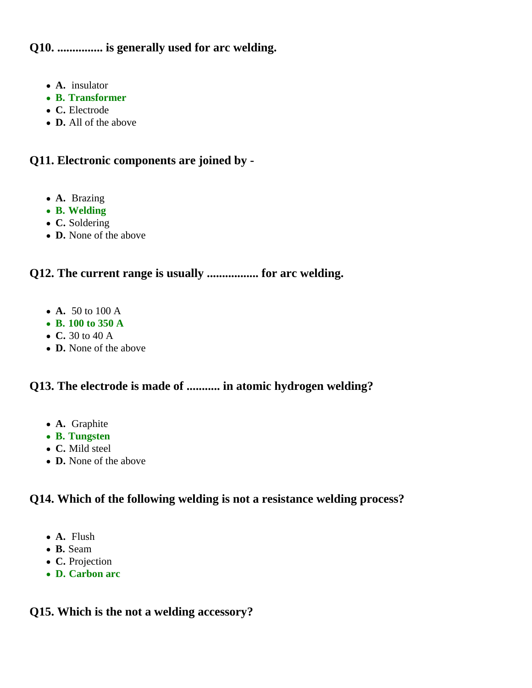**Q10. ............... is generally used for arc welding.**

- **A.** insulator
- **B. Transformer**
- **C.** Electrode
- **D.** All of the above

# **Q11. Electronic components are joined by -**

- **A.** Brazing
- **B. Welding**
- **C.** Soldering
- **D.** None of the above

# **Q12. The current range is usually ................. for arc welding.**

- **A.** 50 to 100 A
- **B. 100 to 350 A**
- **C.** 30 to 40 A
- **D.** None of the above

# **Q13. The electrode is made of ........... in atomic hydrogen welding?**

- **A.** Graphite
- **B. Tungsten**
- **C.** Mild steel
- **D.** None of the above

# **Q14. Which of the following welding is not a resistance welding process?**

- **A.** Flush
- **B.** Seam
- **C.** Projection
- **D. Carbon arc**

#### **Q15. Which is the not a welding accessory?**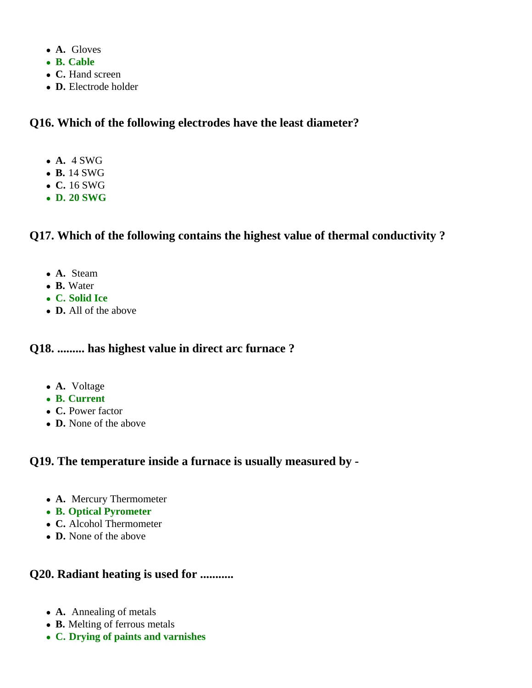- **A.** Gloves
- **B. Cable**
- **C.** Hand screen
- **D.** Electrode holder

#### **Q16. Which of the following electrodes have the least diameter?**

- **A.** 4 SWG
- **B.** 14 SWG
- **C.** 16 SWG
- **D. 20 SWG**

# **Q17. Which of the following contains the highest value of thermal conductivity ?**

- **A.** Steam
- **B.** Water
- **C. Solid Ice**
- **D.** All of the above

#### **Q18. ......... has highest value in direct arc furnace ?**

- **A.** Voltage
- **B. Current**
- **C.** Power factor
- **D.** None of the above

## **Q19. The temperature inside a furnace is usually measured by -**

- **A.** Mercury Thermometer
- **B. Optical Pyrometer**
- **C.** Alcohol Thermometer
- **D.** None of the above

# **Q20. Radiant heating is used for ...........**

- **A.** Annealing of metals
- **B.** Melting of ferrous metals
- **C. Drying of paints and varnishes**